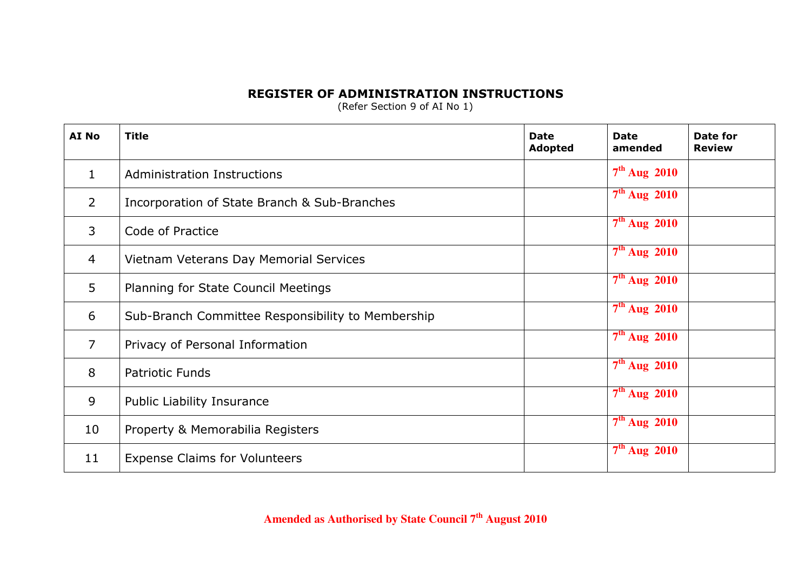## REGISTER OF ADMINISTRATION INSTRUCTIONS

(Refer Section 9 of AI No 1)

| AI No          | <b>Title</b>                                      | <b>Date</b><br>Adopted | <b>Date</b><br>amended | Date for<br><b>Review</b> |
|----------------|---------------------------------------------------|------------------------|------------------------|---------------------------|
| $\mathbf{1}$   | <b>Administration Instructions</b>                |                        | $7th$ Aug 2010         |                           |
| $\overline{2}$ | Incorporation of State Branch & Sub-Branches      |                        | $7th$ Aug 2010         |                           |
| 3              | Code of Practice                                  |                        | $7th$ Aug 2010         |                           |
| $\overline{4}$ | Vietnam Veterans Day Memorial Services            |                        | $7th$ Aug 2010         |                           |
| 5              | Planning for State Council Meetings               |                        | $7th$ Aug 2010         |                           |
| 6              | Sub-Branch Committee Responsibility to Membership |                        | $7th$ Aug 2010         |                           |
| $\overline{7}$ | Privacy of Personal Information                   |                        | $7th$ Aug 2010         |                           |
| 8              | <b>Patriotic Funds</b>                            |                        | $7th$ Aug 2010         |                           |
| 9              | Public Liability Insurance                        |                        | $7th$ Aug 2010         |                           |
| 10             | Property & Memorabilia Registers                  |                        | $7th$ Aug 2010         |                           |
| 11             | <b>Expense Claims for Volunteers</b>              |                        | $7th$ Aug 2010         |                           |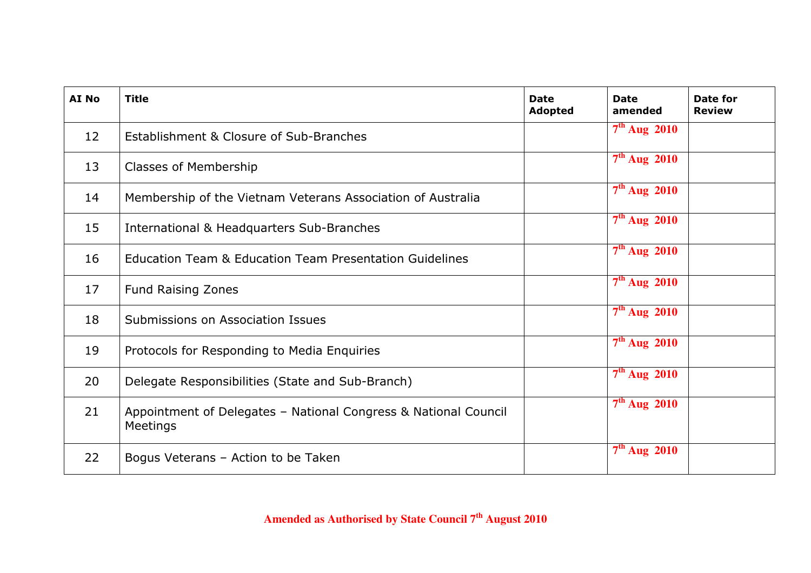| AI No | <b>Title</b>                                                                | <b>Date</b><br><b>Adopted</b> | <b>Date</b><br>amended | Date for<br><b>Review</b> |
|-------|-----------------------------------------------------------------------------|-------------------------------|------------------------|---------------------------|
| 12    | Establishment & Closure of Sub-Branches                                     |                               | $7th$ Aug 2010         |                           |
| 13    | Classes of Membership                                                       |                               | $7th$ Aug 2010         |                           |
| 14    | Membership of the Vietnam Veterans Association of Australia                 |                               | $7th$ Aug 2010         |                           |
| 15    | International & Headquarters Sub-Branches                                   |                               | $7th$ Aug 2010         |                           |
| 16    | <b>Education Team &amp; Education Team Presentation Guidelines</b>          |                               | $7th$ Aug 2010         |                           |
| 17    | <b>Fund Raising Zones</b>                                                   |                               | $7th$ Aug 2010         |                           |
| 18    | Submissions on Association Issues                                           |                               | $7th$ Aug 2010         |                           |
| 19    | Protocols for Responding to Media Enquiries                                 |                               | $7th$ Aug 2010         |                           |
| 20    | Delegate Responsibilities (State and Sub-Branch)                            |                               | $7th$ Aug 2010         |                           |
| 21    | Appointment of Delegates - National Congress & National Council<br>Meetings |                               | $7th$ Aug 2010         |                           |
| 22    | Bogus Veterans - Action to be Taken                                         |                               | $7th$ Aug 2010         |                           |